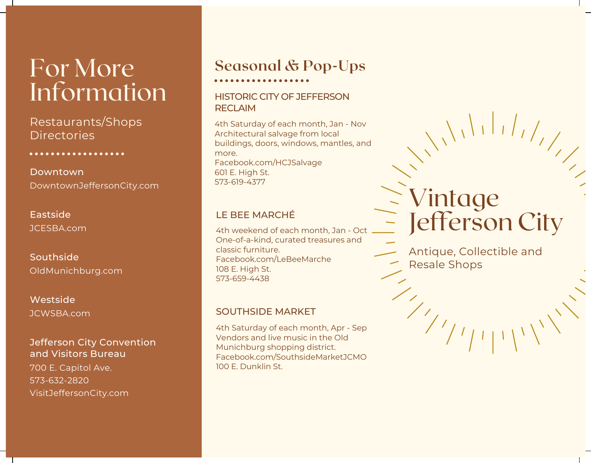# For More Information

Restaurants/Shops **Directories** 

. . . . . . . . . . . . . .

DowntownJeffersonCity.com Downtown

JCESBA.com Eastside

OldMunichburg.com Southside

JCWSBA.com Westside

#### Jefferson City Convention and Visitors Bureau

700 E. Capitol Ave. 573-632-2820 VisitJeffersonCity.com

### **Seasonal & Pop-Ups**

#### HISTORIC CITY OF JEFFERSON **RECLAIM**

4th Saturday of each month, Jan - Nov Architectural salvage from local buildings, doors, windows, mantles, and more. Facebook.com/HCJSalvage 601 E. High St. 573-619-4377

#### LE BEE MARCHÉ

4th weekend of each month, Jan - Oct One-of-a-kind, curated treasures and classic furniture. Facebook.com/LeBeeMarche 108 E. High St. 573-659-4438

#### SOUTHSIDE MARKET

4th Saturday of each month, Apr - Sep Vendors and live music in the Old Munichburg shopping district. Facebook.com/SouthsideMarketJCMO 100 E. Dunklin St.

# Vintage Jefferson City

Antique, Collectible and Resale Shops